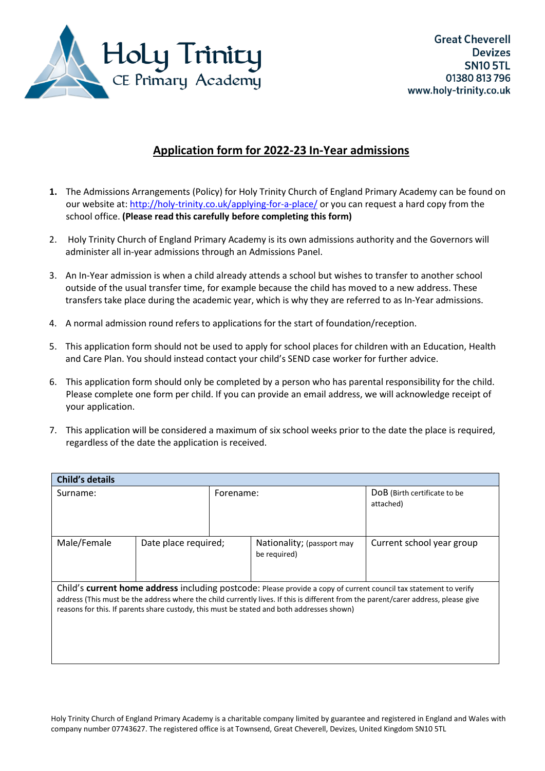

# **Application form for 2022-23 In-Year admissions**

- **1.** The Admissions Arrangements (Policy) for Holy Trinity Church of England Primary Academy can be found on our website at: <http://holy-trinity.co.uk/applying-for-a-place/> or you can request a hard copy from the school office. **(Please read this carefully before completing this form)**
- 2. Holy Trinity Church of England Primary Academy is its own admissions authority and the Governors will administer all in-year admissions through an Admissions Panel.
- 3. An In-Year admission is when a child already attends a school but wishes to transfer to another school outside of the usual transfer time, for example because the child has moved to a new address. These transfers take place during the academic year, which is why they are referred to as In-Year admissions.
- 4. A normal admission round refers to applications for the start of foundation/reception.
- 5. This application form should not be used to apply for school places for children with an Education, Health and Care Plan. You should instead contact your child's SEND case worker for further advice.
- 6. This application form should only be completed by a person who has parental responsibility for the child. Please complete one form per child. If you can provide an email address, we will acknowledge receipt of your application.
- 7. This application will be considered a maximum of six school weeks prior to the date the place is required, regardless of the date the application is received.

| <b>Child's details</b>                                                                                                                                                                                                                                                                                                                               |                      |           |                                            |                                           |  |
|------------------------------------------------------------------------------------------------------------------------------------------------------------------------------------------------------------------------------------------------------------------------------------------------------------------------------------------------------|----------------------|-----------|--------------------------------------------|-------------------------------------------|--|
| Surname:                                                                                                                                                                                                                                                                                                                                             |                      | Forename: |                                            | DoB (Birth certificate to be<br>attached) |  |
| Male/Female                                                                                                                                                                                                                                                                                                                                          | Date place required; |           | Nationality; (passport may<br>be required) | Current school year group                 |  |
| Child's current home address including postcode: Please provide a copy of current council tax statement to verify<br>address (This must be the address where the child currently lives. If this is different from the parent/carer address, please give<br>reasons for this. If parents share custody, this must be stated and both addresses shown) |                      |           |                                            |                                           |  |

Holy Trinity Church of England Primary Academy is a charitable company limited by guarantee and registered in England and Wales with company number 07743627. The registered office is at Townsend, Great Cheverell, Devizes, United Kingdom SN10 5TL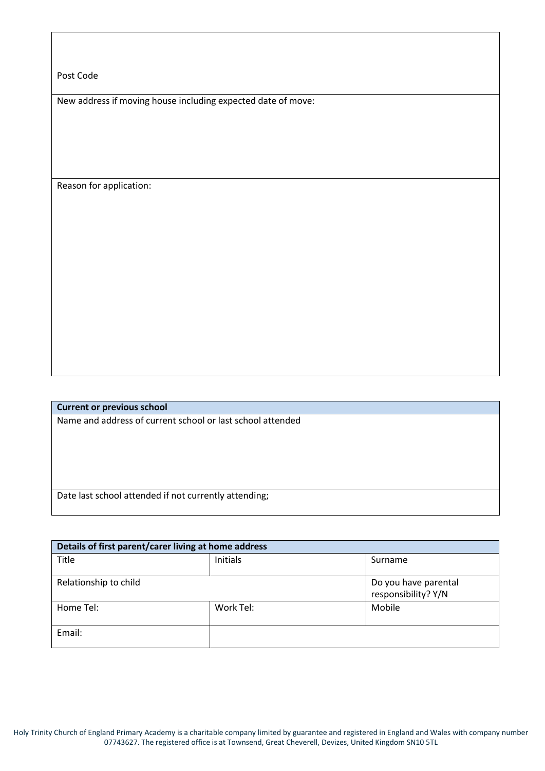Post Code

New address if moving house including expected date of move:

Reason for application:

**Current or previous school** Name and address of current school or last school attended

Date last school attended if not currently attending;

| Details of first parent/carer living at home address |           |                                             |
|------------------------------------------------------|-----------|---------------------------------------------|
| Title                                                | Initials  | Surname                                     |
| Relationship to child                                |           | Do you have parental<br>responsibility? Y/N |
| Home Tel:                                            | Work Tel: | Mobile                                      |
| Email:                                               |           |                                             |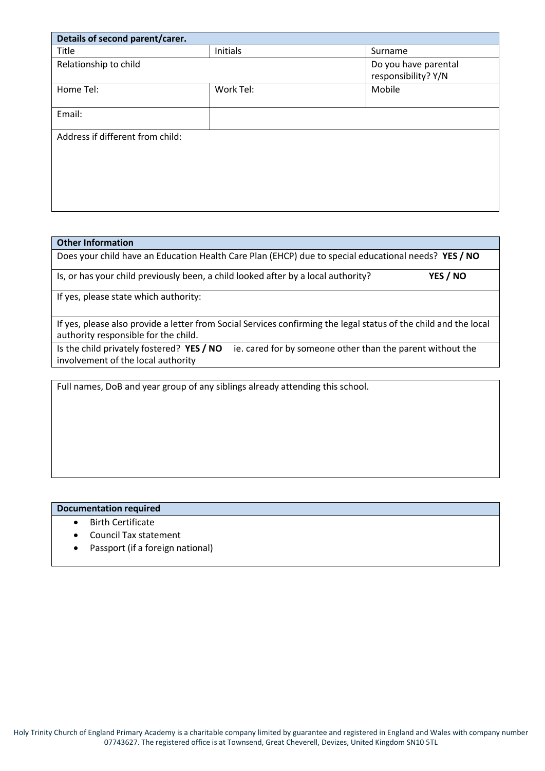| Details of second parent/carer.  |           |                                             |
|----------------------------------|-----------|---------------------------------------------|
| Title                            | Initials  | Surname                                     |
| Relationship to child            |           | Do you have parental<br>responsibility? Y/N |
| Home Tel:                        | Work Tel: | Mobile                                      |
| Email:                           |           |                                             |
| Address if different from child: |           |                                             |

#### **Other Information**

Does your child have an Education Health Care Plan (EHCP) due to special educational needs? **YES / NO**

Is, or has your child previously been, a child looked after by a local authority? **YES / NO**

If yes, please state which authority:

If yes, please also provide a letter from Social Services confirming the legal status of the child and the local authority responsible for the child.

Is the child privately fostered? **YES / NO** ie. cared for by someone other than the parent without the involvement of the local authority

Full names, DoB and year group of any siblings already attending this school.

### **Documentation required**

- Birth Certificate
- Council Tax statement
- Passport (if a foreign national)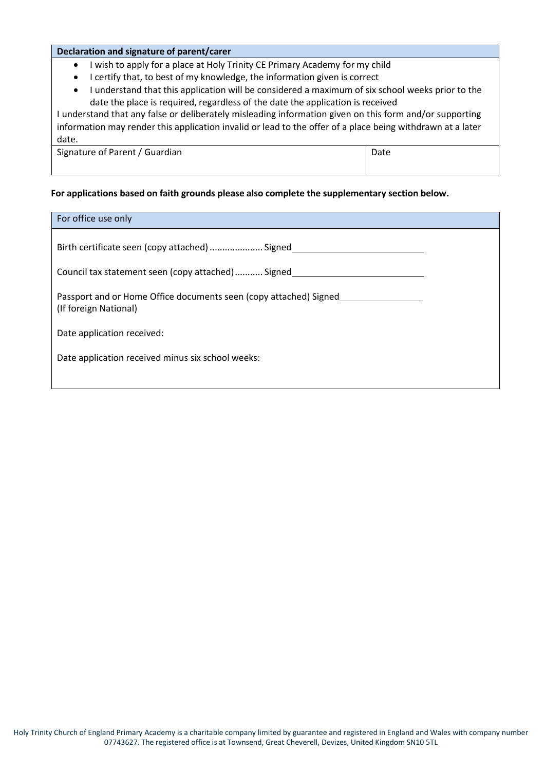#### **Declaration and signature of parent/carer**

- I wish to apply for a place at Holy Trinity CE Primary Academy for my child
- I certify that, to best of my knowledge, the information given is correct
- I understand that this application will be considered a maximum of six school weeks prior to the date the place is required, regardless of the date the application is received

I understand that any false or deliberately misleading information given on this form and/or supporting information may render this application invalid or lead to the offer of a place being withdrawn at a later date.

Signature of Parent / Guardian Date | Date | Date | Date | Date | Date | Date | Date | Date | Date | Date | Date | Date | Date | Date | Date | Date | Date | Date | Date | Date | Date | Date | Date | Date | Date | Date | Da

## **For applications based on faith grounds please also complete the supplementary section below.**

| For office use only                                                                        |  |  |
|--------------------------------------------------------------------------------------------|--|--|
| Birth certificate seen (copy attached)  Signed                                             |  |  |
| Council tax statement seen (copy attached) Signed_                                         |  |  |
| Passport and or Home Office documents seen (copy attached) Signed<br>(If foreign National) |  |  |
| Date application received:                                                                 |  |  |
| Date application received minus six school weeks:                                          |  |  |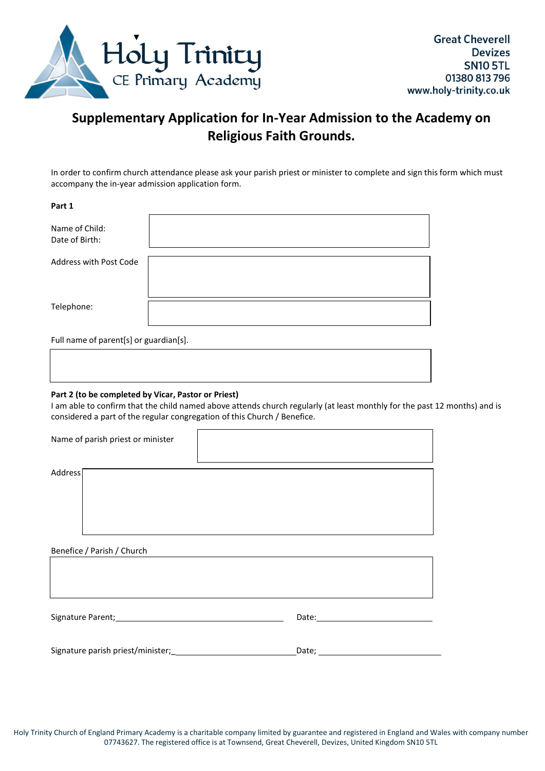

# **Supplementary Application for In-Year Admission to the Academy on Religious Faith Grounds.**

In order to confirm church attendance please ask your parish priest or minister to complete and sign this form which must accompany the in-year admission application form.

| Part 1                                 |  |
|----------------------------------------|--|
| Name of Child:<br>Date of Birth:       |  |
| Address with Post Code                 |  |
| Telephone:                             |  |
| Full name of parent[s] or guardian[s]. |  |

#### **Part 2 (to be completed by Vicar, Pastor or Priest)**

I am able to confirm that the child named above attends church regularly (at least monthly for the past 12 months) and is considered a part of the regular congregation of this Church / Benefice.

| Name of parish priest or minister                                                                                                                                                                                              |              |  |  |
|--------------------------------------------------------------------------------------------------------------------------------------------------------------------------------------------------------------------------------|--------------|--|--|
| Address                                                                                                                                                                                                                        |              |  |  |
| Benefice / Parish / Church                                                                                                                                                                                                     |              |  |  |
|                                                                                                                                                                                                                                |              |  |  |
| Signature Parent; Management and Signature Parent; Management and Signature Parents and Signature Parents and Signature Parents and Signature Parents and Signature Parents and Signature Parents and Signature Parents and Si |              |  |  |
|                                                                                                                                                                                                                                | Date; $\_\_$ |  |  |